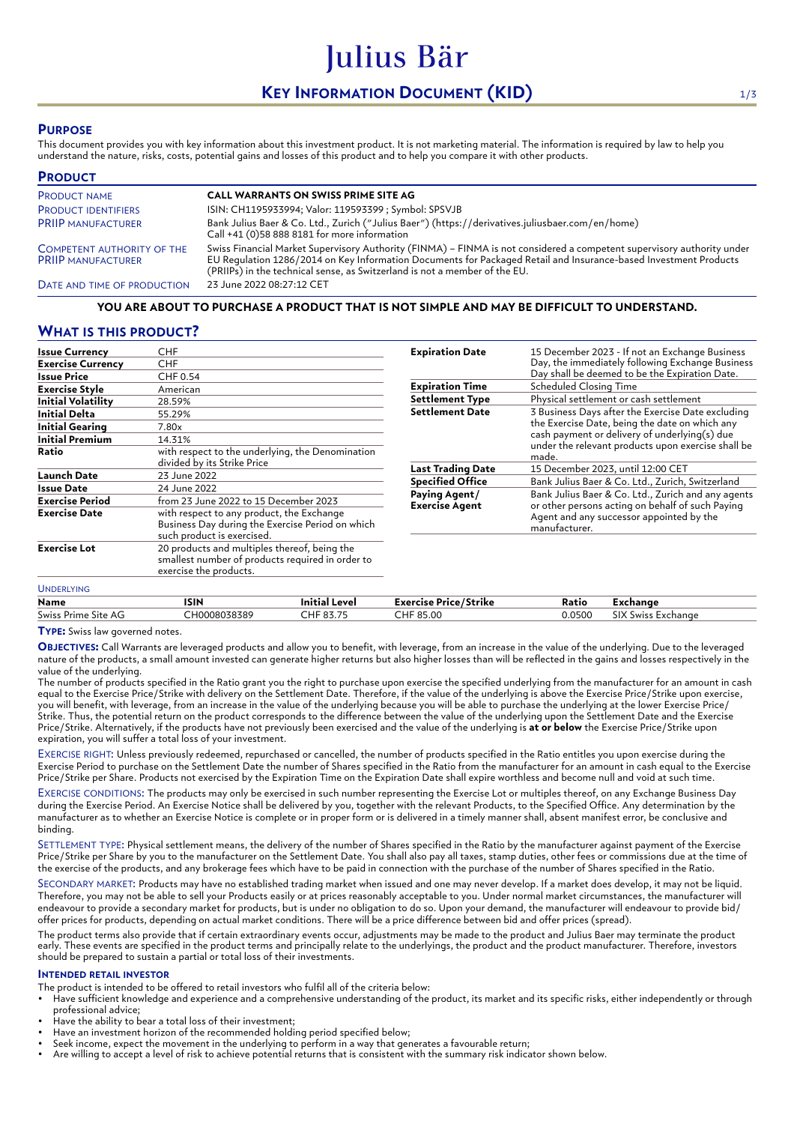# **KEY INFORMATION DOCUMENT (KID)** 1/3

Julius Bär

# **PURPOSE**

This document provides you with key information about this investment product. It is not marketing material. The information is required by law to help you understand the nature, risks, costs, potential gains and losses of this product and to help you compare it with other products.

| <b>PRODUCT</b>                                                 |                                                                                                                                                                                                                                                                                                                          |
|----------------------------------------------------------------|--------------------------------------------------------------------------------------------------------------------------------------------------------------------------------------------------------------------------------------------------------------------------------------------------------------------------|
| <b>PRODUCT NAME</b>                                            | <b>CALL WARRANTS ON SWISS PRIME SITE AG</b>                                                                                                                                                                                                                                                                              |
| <b>PRODUCT IDENTIFIERS</b>                                     | ISIN: CH1195933994; Valor: 119593399 ; Symbol: SPSVJB                                                                                                                                                                                                                                                                    |
| <b>PRIIP MANUFACTURER</b>                                      | Bank Julius Baer & Co. Ltd., Zurich ("Julius Baer") (https://derivatives.juliusbaer.com/en/home)<br>Call +41 (0)58 888 8181 for more information                                                                                                                                                                         |
| <b>COMPETENT AUTHORITY OF THE</b><br><b>PRIIP MANUFACTURER</b> | Swiss Financial Market Supervisory Authority (FINMA) - FINMA is not considered a competent supervisory authority under<br>EU Regulation 1286/2014 on Key Information Documents for Packaged Retail and Insurance-based Investment Products<br>(PRIIPs) in the technical sense, as Switzerland is not a member of the EU. |
| DATE AND TIME OF PRODUCTION                                    | 23 June 2022 08:27:12 CET                                                                                                                                                                                                                                                                                                |

## **YOU ARE ABOUT TO PURCHASE A PRODUCT THAT IS NOT SIMPLE AND MAY BE DIFFICULT TO UNDERSTAND.**

# **WHAT IS THIS PRODUCT?**

| Issue Currency            | CHF                                                                                                                         |  |
|---------------------------|-----------------------------------------------------------------------------------------------------------------------------|--|
| <b>Exercise Currency</b>  | <b>CHF</b>                                                                                                                  |  |
| <b>Issue Price</b>        | CHF 0.54                                                                                                                    |  |
| <b>Exercise Style</b>     | American                                                                                                                    |  |
| <b>Initial Volatility</b> | 28.59%                                                                                                                      |  |
| Initial Delta             | 55.29%                                                                                                                      |  |
| <b>Initial Gearing</b>    | 7.80x                                                                                                                       |  |
| <b>Initial Premium</b>    | 14.31%                                                                                                                      |  |
| Ratio                     | with respect to the underlying, the Denomination<br>divided by its Strike Price                                             |  |
| <b>Launch Date</b>        | 23 June 2022                                                                                                                |  |
| Issue Date                | 24 June 2022                                                                                                                |  |
| Exercise Period           | from 23 June 2022 to 15 December 2023                                                                                       |  |
| <b>Exercise Date</b>      | with respect to any product, the Exchange<br>Business Day during the Exercise Period on which<br>such product is exercised. |  |
| <b>Exercise Lot</b>       | 20 products and multiples thereof, being the<br>smallest number of products required in order to<br>exercise the products.  |  |
| <b>LINDERI YING</b>       |                                                                                                                             |  |

| <b>Expiration Date</b>                 | 15 December 2023 - If not an Exchange Business<br>Day, the immediately following Exchange Business<br>Day shall be deemed to be the Expiration Date.                                                                |  |  |
|----------------------------------------|---------------------------------------------------------------------------------------------------------------------------------------------------------------------------------------------------------------------|--|--|
| <b>Expiration Time</b>                 | <b>Scheduled Closing Time</b>                                                                                                                                                                                       |  |  |
| <b>Settlement Type</b>                 | Physical settlement or cash settlement                                                                                                                                                                              |  |  |
| <b>Settlement Date</b>                 | 3 Business Days after the Exercise Date excluding<br>the Exercise Date, being the date on which any<br>cash payment or delivery of underlying(s) due<br>under the relevant products upon exercise shall be<br>made. |  |  |
| <b>Last Trading Date</b>               | 15 December 2023, until 12:00 CET                                                                                                                                                                                   |  |  |
| <b>Specified Office</b>                | Bank Julius Baer & Co. Ltd., Zurich, Switzerland                                                                                                                                                                    |  |  |
| Paying Agent/<br><b>Exercise Agent</b> | Bank Julius Baer & Co. Ltd., Zurich and any agents<br>or other persons acting on behalf of such Paying<br>Agent and any successor appointed by the<br>manufacturer.                                                 |  |  |

| Name                   | ISIN                       | Level<br>Initia.                          | <b>Exercise Price/Strike</b> | Ratic  | Exchange                          |
|------------------------|----------------------------|-------------------------------------------|------------------------------|--------|-----------------------------------|
| Swiss<br>Prime Site AG | 18038389<br>$\sim$<br>าคกร | $\sim$ $\sim$ $\sim$ $\sim$<br><b>UJ.</b> | $\sim$ 1 $\sim$<br>85.00     | 0.0500 | $\sim$<br>Exchange<br>Swiss<br>ыx |

**TYPE:** Swiss law governed notes.

**OBJECTIVES:** Call Warrants are leveraged products and allow you to benefit, with leverage, from an increase in the value of the underlying. Due to the leveraged nature of the products, a small amount invested can generate higher returns but also higher losses than will be reflected in the gains and losses respectively in the value of the underlying.

The number of products specified in the Ratio grant you the right to purchase upon exercise the specified underlying from the manufacturer for an amount in cash equal to the Exercise Price/Strike with delivery on the Settlement Date. Therefore, if the value of the underlying is above the Exercise Price/Strike upon exercise, you will benefit, with leverage, from an increase in the value of the underlying because you will be able to purchase the underlying at the lower Exercise Price/ Strike. Thus, the potential return on the product corresponds to the difference between the value of the underlying upon the Settlement Date and the Exercise Price/Strike. Alternatively, if the products have not previously been exercised and the value of the underlying is **at or below** the Exercise Price/Strike upon expiration, you will suffer a total loss of your investment.

EXERCISE RIGHT: Unless previously redeemed, repurchased or cancelled, the number of products specified in the Ratio entitles you upon exercise during the Exercise Period to purchase on the Settlement Date the number of Shares specified in the Ratio from the manufacturer for an amount in cash equal to the Exercise Price/Strike per Share. Products not exercised by the Expiration Time on the Expiration Date shall expire worthless and become null and void at such time.

EXERCISE CONDITIONS: The products may only be exercised in such number representing the Exercise Lot or multiples thereof, on any Exchange Business Day during the Exercise Period. An Exercise Notice shall be delivered by you, together with the relevant Products, to the Specified Office. Any determination by the manufacturer as to whether an Exercise Notice is complete or in proper form or is delivered in a timely manner shall, absent manifest error, be conclusive and binding.

SETTLEMENT TYPE: Physical settlement means, the delivery of the number of Shares specified in the Ratio by the manufacturer against payment of the Exercise Price/Strike per Share by you to the manufacturer on the Settlement Date. You shall also pay all taxes, stamp duties, other fees or commissions due at the time of the exercise of the products, and any brokerage fees which have to be paid in connection with the purchase of the number of Shares specified in the Ratio.

SECONDARY MARKET: Products may have no established trading market when issued and one may never develop. If a market does develop, it may not be liquid. Therefore, you may not be able to sell your Products easily or at prices reasonably acceptable to you. Under normal market circumstances, the manufacturer will endeavour to provide a secondary market for products, but is under no obligation to do so. Upon your demand, the manufacturer will endeavour to provide bid/ offer prices for products, depending on actual market conditions. There will be a price difference between bid and offer prices (spread).

The product terms also provide that if certain extraordinary events occur, adjustments may be made to the product and Julius Baer may terminate the product early. These events are specified in the product terms and principally relate to the underlyings, the product and the product manufacturer. Therefore, investors should be prepared to sustain a partial or total loss of their investments.

## **INTENDED RETAIL INVESTOR**

The product is intended to be offered to retail investors who fulfil all of the criteria below:

- Have sufficient knowledge and experience and a comprehensive understanding of the product, its market and its specific risks, either independently or through professional advice;
- Have the ability to bear a total loss of their investment;
- Have an investment horizon of the recommended holding period specified below;
- Seek income, expect the movement in the underlying to perform in a way that generates a favourable return;
- Are willing to accept a level of risk to achieve potential returns that is consistent with the summary risk indicator shown below.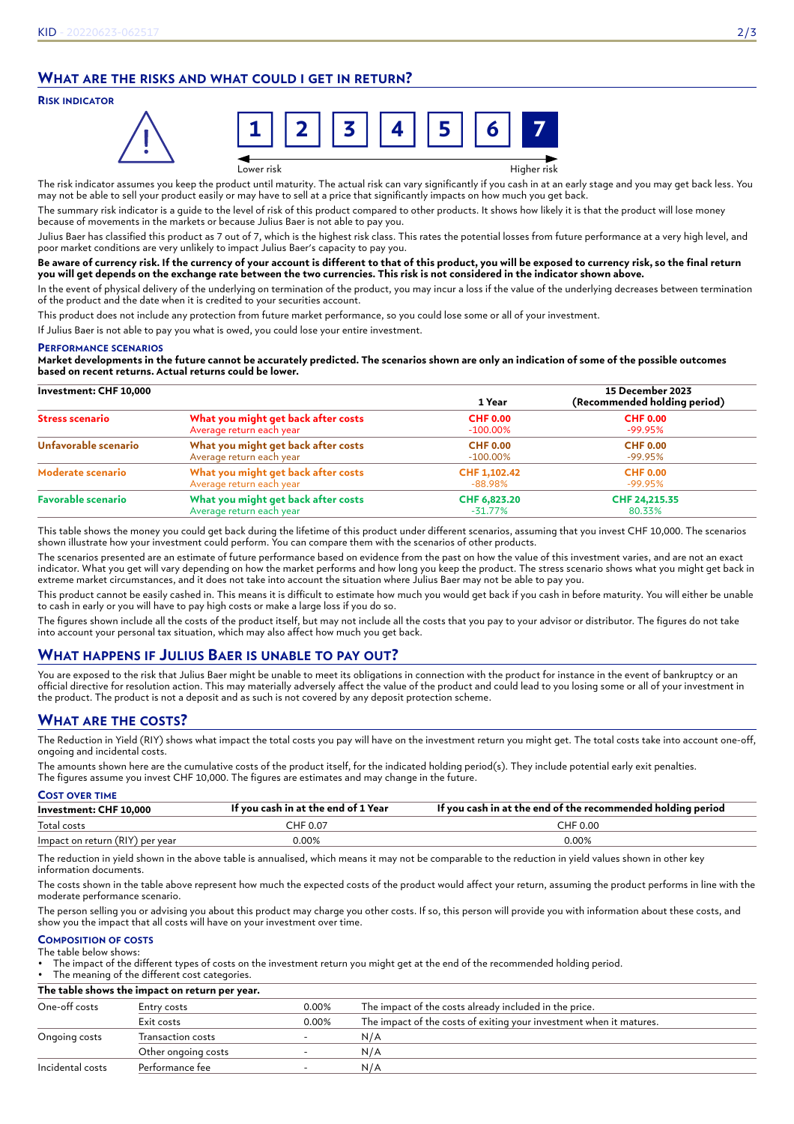# **WHAT ARE THE RISKS AND WHAT COULD I GET IN RETURN?**

## **RISK INDICATOR**



Lower risk Higher risk

The risk indicator assumes you keep the product until maturity. The actual risk can vary significantly if you cash in at an early stage and you may get back less. You may not be able to sell your product easily or may have to sell at a price that significantly impacts on how much you get back.

The summary risk indicator is a guide to the level of risk of this product compared to other products. It shows how likely it is that the product will lose money because of movements in the markets or because Julius Baer is not able to pay you.

Julius Baer has classified this product as 7 out of 7, which is the highest risk class. This rates the potential losses from future performance at a very high level, and poor market conditions are very unlikely to impact Julius Baer's capacity to pay you.

#### **Be aware of currency risk. If the currency of your account is different to that of this product, you will be exposed to currency risk, so the final return you will get depends on the exchange rate between the two currencies. This risk is not considered in the indicator shown above.**

In the event of physical delivery of the underlying on termination of the product, you may incur a loss if the value of the underlying decreases between termination of the product and the date when it is credited to your securities account.

This product does not include any protection from future market performance, so you could lose some or all of your investment.

If Julius Baer is not able to pay you what is owed, you could lose your entire investment.

#### **PERFORMANCE SCENARIOS**

**Market developments in the future cannot be accurately predicted. The scenarios shown are only an indication of some of the possible outcomes based on recent returns. Actual returns could be lower.**

| Investment: CHF 10,000                                                               |                                     | 1 Year                  | 15 December 2023<br>(Recommended holding period) |
|--------------------------------------------------------------------------------------|-------------------------------------|-------------------------|--------------------------------------------------|
| <b>Stress scenario</b>                                                               | What you might get back after costs | <b>CHF 0.00</b>         | <b>CHF 0.00</b>                                  |
|                                                                                      | Average return each year            | $-100.00\%$             | -99.95%                                          |
| Unfavorable scenario                                                                 | What you might get back after costs | <b>CHF 0.00</b>         | <b>CHF 0.00</b>                                  |
|                                                                                      | Average return each year            | $-100.00\%$             | -99.95%                                          |
| What you might get back after costs<br>Moderate scenario<br>Average return each year |                                     | CHF 1,102.42<br>-88.98% | <b>CHF 0.00</b><br>-99.95%                       |
| <b>Favorable scenario</b>                                                            | What you might get back after costs | CHF 6,823.20            | CHF 24,215.35                                    |
|                                                                                      | Average return each year            | $-31.77\%$              | 80.33%                                           |

This table shows the money you could get back during the lifetime of this product under different scenarios, assuming that you invest CHF 10,000. The scenarios shown illustrate how your investment could perform. You can compare them with the scenarios of other products.

The scenarios presented are an estimate of future performance based on evidence from the past on how the value of this investment varies, and are not an exact indicator. What you get will vary depending on how the market performs and how long you keep the product. The stress scenario shows what you might get back in extreme market circumstances, and it does not take into account the situation where Julius Baer may not be able to pay you.

This product cannot be easily cashed in. This means it is difficult to estimate how much you would get back if you cash in before maturity. You will either be unable to cash in early or you will have to pay high costs or make a large loss if you do so.

The figures shown include all the costs of the product itself, but may not include all the costs that you pay to your advisor or distributor. The figures do not take into account your personal tax situation, which may also affect how much you get back.

# **WHAT HAPPENS IF JULIUS BAER IS UNABLE TO PAY OUT?**

You are exposed to the risk that Julius Baer might be unable to meet its obligations in connection with the product for instance in the event of bankruptcy or an official directive for resolution action. This may materially adversely affect the value of the product and could lead to you losing some or all of your investment in the product. The product is not a deposit and as such is not covered by any deposit protection scheme.

# **WHAT ARE THE COSTS?**

The Reduction in Yield (RIY) shows what impact the total costs you pay will have on the investment return you might get. The total costs take into account one-off, ongoing and incidental costs.

The amounts shown here are the cumulative costs of the product itself, for the indicated holding period(s). They include potential early exit penalties. The figures assume you invest CHF 10,000. The figures are estimates and may change in the future.

| <b>COST OVER TIME</b>           |                                     |                                                             |  |
|---------------------------------|-------------------------------------|-------------------------------------------------------------|--|
| Investment: CHF 10,000          | If you cash in at the end of 1 Year | If you cash in at the end of the recommended holding period |  |
| Total costs                     | CHF 0.07                            | CHF 0.00                                                    |  |
| Impact on return (RIY) per year | 0.00%                               | 0.00%                                                       |  |

The reduction in yield shown in the above table is annualised, which means it may not be comparable to the reduction in yield values shown in other key information documents.

The costs shown in the table above represent how much the expected costs of the product would affect your return, assuming the product performs in line with the moderate performance scenario.

The person selling you or advising you about this product may charge you other costs. If so, this person will provide you with information about these costs, and show you the impact that all costs will have on your investment over time.

#### **COMPOSITION OF COSTS** The table below shows:

• The impact of the different types of costs on the investment return you might get at the end of the recommended holding period.

The meaning of the different cost categories.

**The table shows the impact on return per year.**

| One-off costs    | Entry costs         | 0.00% | The impact of the costs already included in the price.              |
|------------------|---------------------|-------|---------------------------------------------------------------------|
|                  | Exit costs          | 0.00% | The impact of the costs of exiting your investment when it matures. |
| Ongoing costs    | Transaction costs   |       | N/A                                                                 |
|                  | Other ongoing costs |       | N/A                                                                 |
| Incidental costs | Performance fee     |       | N/A                                                                 |